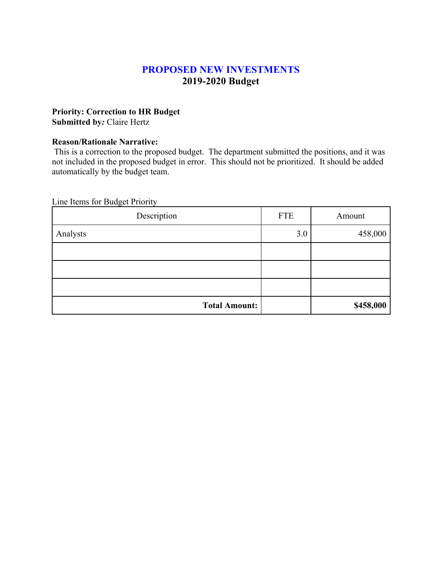## **PROPOSED NEW INVESTMENTS 2019-2020 Budget**

# **Priority: Correction to HR Budget**

**Submitted by***:* Claire Hertz

### **Reason/Rationale Narrative:**

This is a correction to the proposed budget. The department submitted the positions, and it was not included in the proposed budget in error. This should not be prioritized. It should be added automatically by the budget team.

| Description          | <b>FTE</b> | Amount    |
|----------------------|------------|-----------|
| Analysts             | 3.0        | 458,000   |
|                      |            |           |
|                      |            |           |
|                      |            |           |
| <b>Total Amount:</b> |            | \$458,000 |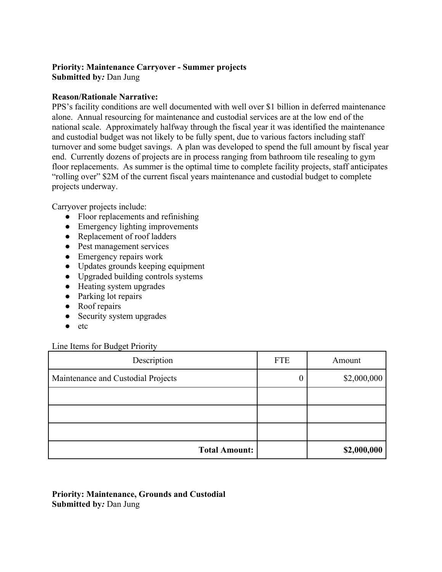## **Priority: Maintenance Carryover - Summer projects**

**Submitted by***:* Dan Jung

### **Reason/Rationale Narrative:**

PPS's facility conditions are well documented with well over \$1 billion in deferred maintenance alone. Annual resourcing for maintenance and custodial services are at the low end of the national scale. Approximately halfway through the fiscal year it was identified the maintenance and custodial budget was not likely to be fully spent, due to various factors including staff turnover and some budget savings. A plan was developed to spend the full amount by fiscal year end. Currently dozens of projects are in process ranging from bathroom tile resealing to gym floor replacements. As summer is the optimal time to complete facility projects, staff anticipates "rolling over" \$2M of the current fiscal years maintenance and custodial budget to complete projects underway.

Carryover projects include:

- Floor replacements and refinishing
- Emergency lighting improvements
- Replacement of roof ladders
- Pest management services
- Emergency repairs work
- Updates grounds keeping equipment
- Upgraded building controls systems
- Heating system upgrades
- Parking lot repairs
- Roof repairs
- Security system upgrades
- etc

Line Items for Budget Priority

| Description                        | <b>FTE</b>       | Amount      |
|------------------------------------|------------------|-------------|
| Maintenance and Custodial Projects | $\boldsymbol{0}$ | \$2,000,000 |
|                                    |                  |             |
|                                    |                  |             |
|                                    |                  |             |
| <b>Total Amount:</b>               |                  | \$2,000,000 |

### **Priority: Maintenance, Grounds and Custodial Submitted by***:* Dan Jung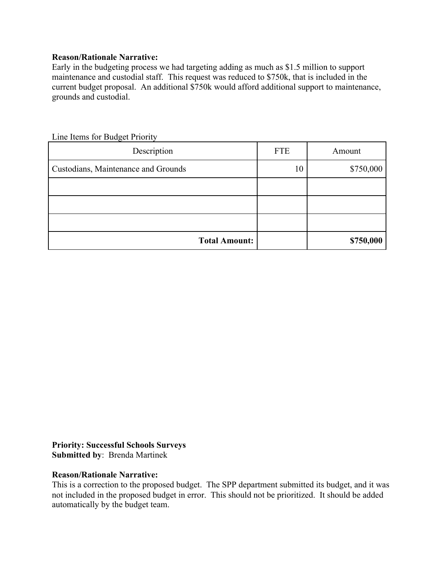### **Reason/Rationale Narrative:**

Early in the budgeting process we had targeting adding as much as \$1.5 million to support maintenance and custodial staff. This request was reduced to \$750k, that is included in the current budget proposal. An additional \$750k would afford additional support to maintenance, grounds and custodial.

| Description                         | <b>FTE</b> | Amount    |
|-------------------------------------|------------|-----------|
| Custodians, Maintenance and Grounds | 10         | \$750,000 |
|                                     |            |           |
|                                     |            |           |
|                                     |            |           |
| <b>Total Amount:</b>                |            | \$750,000 |

Line Items for Budget Priority

**Priority: Successful Schools Surveys Submitted by**: Brenda Martinek

#### **Reason/Rationale Narrative:**

This is a correction to the proposed budget. The SPP department submitted its budget, and it was not included in the proposed budget in error. This should not be prioritized. It should be added automatically by the budget team.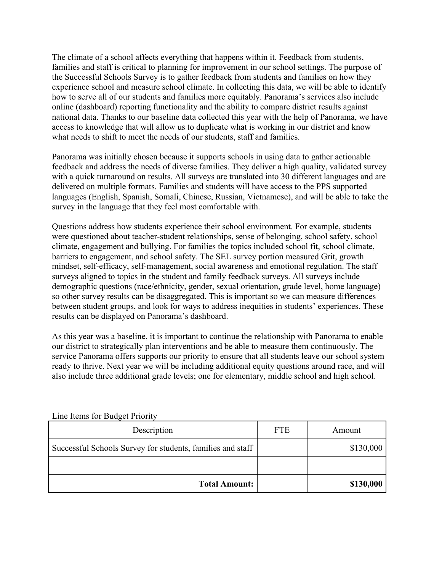The climate of a school affects everything that happens within it. Feedback from students, families and staff is critical to planning for improvement in our school settings. The purpose of the Successful Schools Survey is to gather feedback from students and families on how they experience school and measure school climate. In collecting this data, we will be able to identify how to serve all of our students and families more equitably. Panorama's services also include online (dashboard) reporting functionality and the ability to compare district results against national data. Thanks to our baseline data collected this year with the help of Panorama, we have access to knowledge that will allow us to duplicate what is working in our district and know what needs to shift to meet the needs of our students, staff and families.

Panorama was initially chosen because it supports schools in using data to gather actionable feedback and address the needs of diverse families. They deliver a high quality, validated survey with a quick turnaround on results. All surveys are translated into 30 different languages and are delivered on multiple formats. Families and students will have access to the PPS supported languages (English, Spanish, Somali, Chinese, Russian, Vietnamese), and will be able to take the survey in the language that they feel most comfortable with.

Questions address how students experience their school environment. For example, students were questioned about teacher-student relationships, sense of belonging, school safety, school climate, engagement and bullying. For families the topics included school fit, school climate, barriers to engagement, and school safety. The SEL survey portion measured Grit, growth mindset, self-efficacy, self-management, social awareness and emotional regulation. The staff surveys aligned to topics in the student and family feedback surveys. All surveys include demographic questions (race/ethnicity, gender, sexual orientation, grade level, home language) so other survey results can be disaggregated. This is important so we can measure differences between student groups, and look for ways to address inequities in students' experiences. These results can be displayed on Panorama's dashboard.

As this year was a baseline, it is important to continue the relationship with Panorama to enable our district to strategically plan interventions and be able to measure them continuously. The service Panorama offers supports our priority to ensure that all students leave our school system ready to thrive. Next year we will be including additional equity questions around race, and will also include three additional grade levels; one for elementary, middle school and high school.

| Description                                                | <b>FTE</b> | Amount<br>\$130,000 |  |
|------------------------------------------------------------|------------|---------------------|--|
| Successful Schools Survey for students, families and staff |            |                     |  |
|                                                            |            |                     |  |
| <b>Total Amount:</b>                                       |            | \$130,000           |  |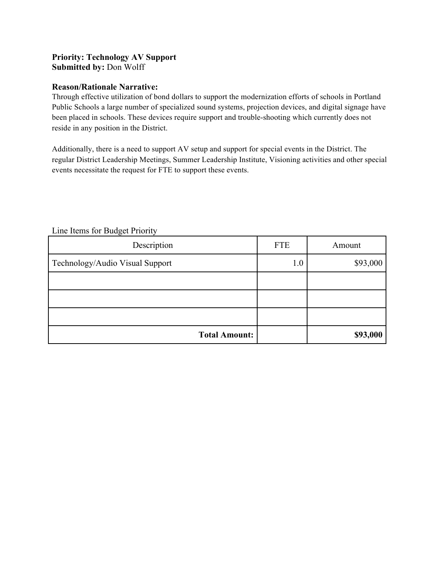### **Priority: Technology AV Support Submitted by:** Don Wolff

#### **Reason/Rationale Narrative:**

Through effective utilization of bond dollars to support the modernization efforts of schools in Portland Public Schools a large number of specialized sound systems, projection devices, and digital signage have been placed in schools. These devices require support and trouble-shooting which currently does not reside in any position in the District.

Additionally, there is a need to support AV setup and support for special events in the District. The regular District Leadership Meetings, Summer Leadership Institute, Visioning activities and other special events necessitate the request for FTE to support these events.

| Description                     | <b>FTE</b> | Amount   |  |
|---------------------------------|------------|----------|--|
| Technology/Audio Visual Support | 1.0        | \$93,000 |  |
|                                 |            |          |  |
|                                 |            |          |  |
|                                 |            |          |  |
| <b>Total Amount:</b>            |            | \$93,000 |  |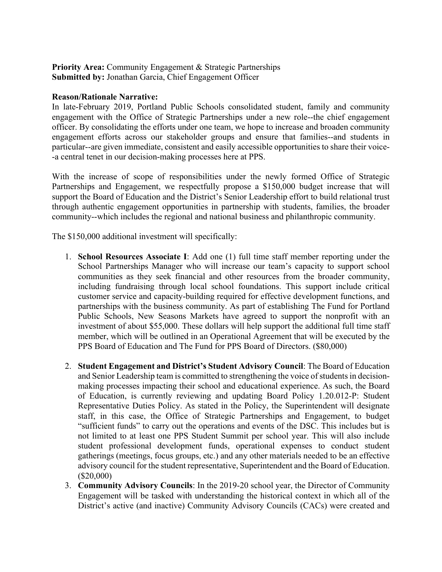### **Priority Area:** Community Engagement & Strategic Partnerships **Submitted by:** Jonathan Garcia, Chief Engagement Officer

### **Reason/Rationale Narrative:**

In late-February 2019, Portland Public Schools consolidated student, family and community engagement with the Office of Strategic Partnerships under a new role--the chief engagement officer. By consolidating the efforts under one team, we hope to increase and broaden community engagement efforts across our stakeholder groups and ensure that families--and students in particular--are given immediate, consistent and easily accessible opportunities to share their voice- -a central tenet in our decision-making processes here at PPS.

With the increase of scope of responsibilities under the newly formed Office of Strategic Partnerships and Engagement, we respectfully propose a \$150,000 budget increase that will support the Board of Education and the District's Senior Leadership effort to build relational trust through authentic engagement opportunities in partnership with students, families, the broader community--which includes the regional and national business and philanthropic community.

The \$150,000 additional investment will specifically:

- 1. **School Resources Associate I**: Add one (1) full time staff member reporting under the School Partnerships Manager who will increase our team's capacity to support school communities as they seek financial and other resources from the broader community, including fundraising through local school foundations. This support include critical customer service and capacity-building required for effective development functions, and partnerships with the business community. As part of establishing The Fund for Portland Public Schools, New Seasons Markets have agreed to support the nonprofit with an investment of about \$55,000. These dollars will help support the additional full time staff member, which will be outlined in an Operational Agreement that will be executed by the PPS Board of Education and The Fund for PPS Board of Directors. (\$80,000)
- 2. **Student Engagement and District's Student Advisory Council**: The Board of Education and Senior Leadership team is committed to strengthening the voice of students in decisionmaking processes impacting their school and educational experience. As such, the Board of Education, is currently reviewing and updating Board Policy 1.20.012-P: Student Representative Duties Policy. As stated in the Policy, the Superintendent will designate staff, in this case, the Office of Strategic Partnerships and Engagement, to budget "sufficient funds" to carry out the operations and events of the DSC. This includes but is not limited to at least one PPS Student Summit per school year. This will also include student professional development funds, operational expenses to conduct student gatherings (meetings, focus groups, etc.) and any other materials needed to be an effective advisory council for the student representative, Superintendent and the Board of Education. (\$20,000)
- 3. **Community Advisory Councils**: In the 2019-20 school year, the Director of Community Engagement will be tasked with understanding the historical context in which all of the District's active (and inactive) Community Advisory Councils (CACs) were created and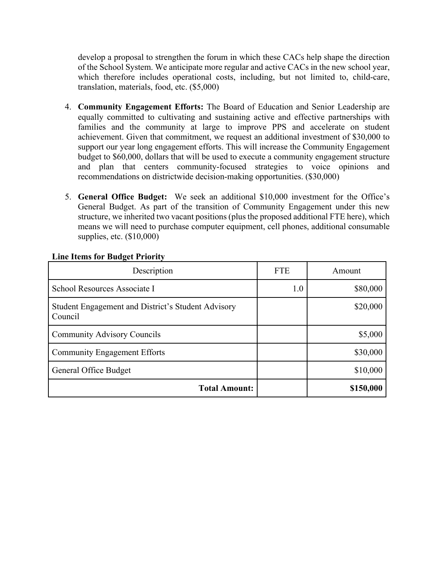develop a proposal to strengthen the forum in which these CACs help shape the direction of the School System. We anticipate more regular and active CACs in the new school year, which therefore includes operational costs, including, but not limited to, child-care, translation, materials, food, etc. (\$5,000)

- 4. **Community Engagement Efforts:** The Board of Education and Senior Leadership are equally committed to cultivating and sustaining active and effective partnerships with families and the community at large to improve PPS and accelerate on student achievement. Given that commitment, we request an additional investment of \$30,000 to support our year long engagement efforts. This will increase the Community Engagement budget to \$60,000, dollars that will be used to execute a community engagement structure and plan that centers community-focused strategies to voice opinions and recommendations on districtwide decision-making opportunities. (\$30,000)
- 5. **General Office Budget:** We seek an additional \$10,000 investment for the Office's General Budget. As part of the transition of Community Engagement under this new structure, we inherited two vacant positions (plus the proposed additional FTE here), which means we will need to purchase computer equipment, cell phones, additional consumable supplies, etc. (\$10,000)

| Description                                                   | <b>FTE</b> | Amount    |  |  |
|---------------------------------------------------------------|------------|-----------|--|--|
| School Resources Associate I                                  | 1.0        | \$80,000  |  |  |
| Student Engagement and District's Student Advisory<br>Council |            | \$20,000  |  |  |
| <b>Community Advisory Councils</b>                            |            | \$5,000   |  |  |
| <b>Community Engagement Efforts</b>                           |            | \$30,000  |  |  |
| General Office Budget                                         |            | \$10,000  |  |  |
| <b>Total Amount:</b>                                          |            | \$150,000 |  |  |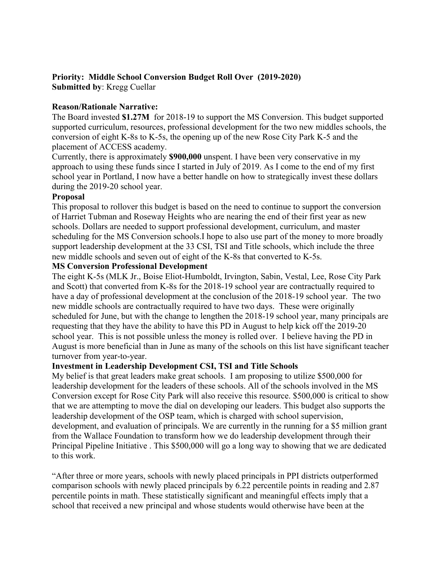### **Priority: Middle School Conversion Budget Roll Over (2019-2020) Submitted by**: Kregg Cuellar

### **Reason/Rationale Narrative:**

The Board invested **\$1.27M** for 2018-19 to support the MS Conversion. This budget supported supported curriculum, resources, professional development for the two new middles schools, the conversion of eight K-8s to K-5s, the opening up of the new Rose City Park K-5 and the placement of ACCESS academy.

Currently, there is approximately **\$900,000** unspent. I have been very conservative in my approach to using these funds since I started in July of 2019. As I come to the end of my first school year in Portland, I now have a better handle on how to strategically invest these dollars during the 2019-20 school year.

### **Proposal**

This proposal to rollover this budget is based on the need to continue to support the conversion of Harriet Tubman and Roseway Heights who are nearing the end of their first year as new schools. Dollars are needed to support professional development, curriculum, and master scheduling for the MS Conversion schools.I hope to also use part of the money to more broadly support leadership development at the 33 CSI, TSI and Title schools, which include the three new middle schools and seven out of eight of the K-8s that converted to K-5s.

### **MS Conversion Professional Development**

The eight K-5s (MLK Jr., Boise Eliot-Humboldt, Irvington, Sabin, Vestal, Lee, Rose City Park and Scott) that converted from K-8s for the 2018-19 school year are contractually required to have a day of professional development at the conclusion of the 2018-19 school year. The two new middle schools are contractually required to have two days. These were originally scheduled for June, but with the change to lengthen the 2018-19 school year, many principals are requesting that they have the ability to have this PD in August to help kick off the 2019-20 school year. This is not possible unless the money is rolled over. I believe having the PD in August is more beneficial than in June as many of the schools on this list have significant teacher turnover from year-to-year.

### **Investment in Leadership Development CSI, TSI and Title Schools**

My belief is that great leaders make great schools. I am proposing to utilize \$500,000 for leadership development for the leaders of these schools. All of the schools involved in the MS Conversion except for Rose City Park will also receive this resource. \$500,000 is critical to show that we are attempting to move the dial on developing our leaders. This budget also supports the leadership development of the OSP team, which is charged with school supervision, development, and evaluation of principals. We are currently in the running for a \$5 million grant from the Wallace Foundation to transform how we do leadership development through their Principal Pipeline Initiative . This \$500,000 will go a long way to showing that we are dedicated to this work.

"After three or more years, schools with newly placed principals in PPI districts outperformed comparison schools with newly placed principals by 6.22 percentile points in reading and 2.87 percentile points in math. These statistically significant and meaningful effects imply that a school that received a new principal and whose students would otherwise have been at the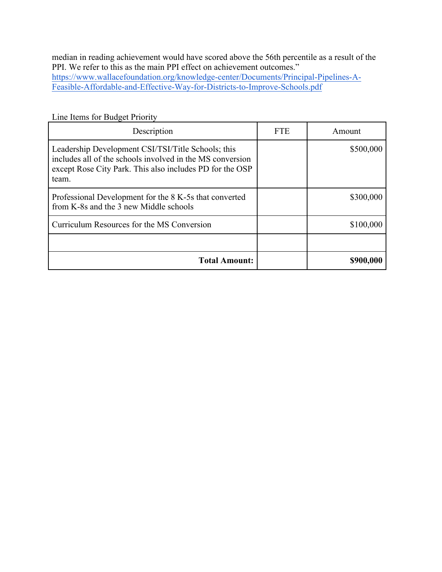median in reading achievement would have scored above the 56th percentile as a result of the PPI. We refer to this as the main PPI effect on achievement outcomes." https://www.wallacefoundation.org/knowledge-center/Documents/Principal-Pipelines-A-Feasible-Affordable-and-Effective-Way-for-Districts-to-Improve-Schools.pdf

| Description                                                                                                                                                                          | <b>FTE</b> | Amount    |
|--------------------------------------------------------------------------------------------------------------------------------------------------------------------------------------|------------|-----------|
| Leadership Development CSI/TSI/Title Schools; this<br>includes all of the schools involved in the MS conversion<br>except Rose City Park. This also includes PD for the OSP<br>team. |            | \$500,000 |
| Professional Development for the 8 K-5s that converted<br>from K-8s and the 3 new Middle schools                                                                                     |            | \$300,000 |
| Curriculum Resources for the MS Conversion                                                                                                                                           |            | \$100,000 |
|                                                                                                                                                                                      |            |           |
| <b>Total Amount:</b>                                                                                                                                                                 |            | \$900,000 |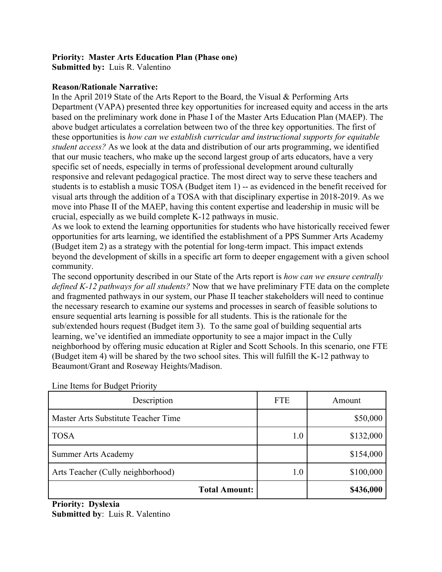# **Priority: Master Arts Education Plan (Phase one)**

**Submitted by:** Luis R. Valentino

### **Reason/Rationale Narrative:**

In the April 2019 State of the Arts Report to the Board, the Visual & Performing Arts Department (VAPA) presented three key opportunities for increased equity and access in the arts based on the preliminary work done in Phase I of the Master Arts Education Plan (MAEP). The above budget articulates a correlation between two of the three key opportunities. The first of these opportunities is *how can we establish curricular and instructional supports for equitable student access?* As we look at the data and distribution of our arts programming, we identified that our music teachers, who make up the second largest group of arts educators, have a very specific set of needs, especially in terms of professional development around culturally responsive and relevant pedagogical practice. The most direct way to serve these teachers and students is to establish a music TOSA (Budget item 1) -- as evidenced in the benefit received for visual arts through the addition of a TOSA with that disciplinary expertise in 2018-2019. As we move into Phase II of the MAEP, having this content expertise and leadership in music will be crucial, especially as we build complete K-12 pathways in music.

As we look to extend the learning opportunities for students who have historically received fewer opportunities for arts learning, we identified the establishment of a PPS Summer Arts Academy (Budget item 2) as a strategy with the potential for long-term impact. This impact extends beyond the development of skills in a specific art form to deeper engagement with a given school community.

The second opportunity described in our State of the Arts report is *how can we ensure centrally defined K-12 pathways for all students?* Now that we have preliminary FTE data on the complete and fragmented pathways in our system, our Phase II teacher stakeholders will need to continue the necessary research to examine our systems and processes in search of feasible solutions to ensure sequential arts learning is possible for all students. This is the rationale for the sub/extended hours request (Budget item 3). To the same goal of building sequential arts learning, we've identified an immediate opportunity to see a major impact in the Cully neighborhood by offering music education at Rigler and Scott Schools. In this scenario, one FTE (Budget item 4) will be shared by the two school sites. This will fulfill the K-12 pathway to Beaumont/Grant and Roseway Heights/Madison.

| Description                         | <b>FTE</b> | Amount    |  |  |
|-------------------------------------|------------|-----------|--|--|
| Master Arts Substitute Teacher Time |            | \$50,000  |  |  |
| <b>TOSA</b>                         | 1.0        | \$132,000 |  |  |
| <b>Summer Arts Academy</b>          |            | \$154,000 |  |  |
| Arts Teacher (Cully neighborhood)   | 1.0        | \$100,000 |  |  |
| <b>Total Amount:</b>                |            | \$436,000 |  |  |

Line Items for Budget Priority

**Priority: Dyslexia Submitted by**: Luis R. Valentino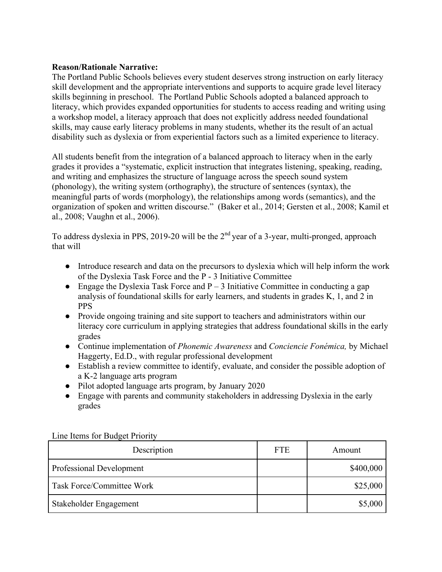### **Reason/Rationale Narrative:**

The Portland Public Schools believes every student deserves strong instruction on early literacy skill development and the appropriate interventions and supports to acquire grade level literacy skills beginning in preschool. The Portland Public Schools adopted a balanced approach to literacy, which provides expanded opportunities for students to access reading and writing using a workshop model, a literacy approach that does not explicitly address needed foundational skills, may cause early literacy problems in many students, whether its the result of an actual disability such as dyslexia or from experiential factors such as a limited experience to literacy.

All students benefit from the integration of a balanced approach to literacy when in the early grades it provides a "systematic, explicit instruction that integrates listening, speaking, reading, and writing and emphasizes the structure of language across the speech sound system (phonology), the writing system (orthography), the structure of sentences (syntax), the meaningful parts of words (morphology), the relationships among words (semantics), and the organization of spoken and written discourse." (Baker et al., 2014; Gersten et al., 2008; Kamil et al., 2008; Vaughn et al., 2006).

To address dyslexia in PPS, 2019-20 will be the  $2<sup>nd</sup>$  year of a 3-year, multi-pronged, approach that will

- Introduce research and data on the precursors to dyslexia which will help inform the work of the Dyslexia Task Force and the P - 3 Initiative Committee
- Engage the Dyslexia Task Force and  $P 3$  Initiative Committee in conducting a gap analysis of foundational skills for early learners, and students in grades K, 1, and 2 in PPS
- Provide ongoing training and site support to teachers and administrators within our literacy core curriculum in applying strategies that address foundational skills in the early grades
- Continue implementation of *Phonemic Awareness* and *Conciencie Fonémica,* by Michael Haggerty, Ed.D., with regular professional development
- Establish a review committee to identify, evaluate, and consider the possible adoption of a K-2 language arts program
- Pilot adopted language arts program, by January 2020
- Engage with parents and community stakeholders in addressing Dyslexia in the early grades

| Description               | <b>FTE</b> | Amount    |  |  |
|---------------------------|------------|-----------|--|--|
| Professional Development  |            | \$400,000 |  |  |
| Task Force/Committee Work |            | \$25,000  |  |  |
| Stakeholder Engagement    |            | \$5,000   |  |  |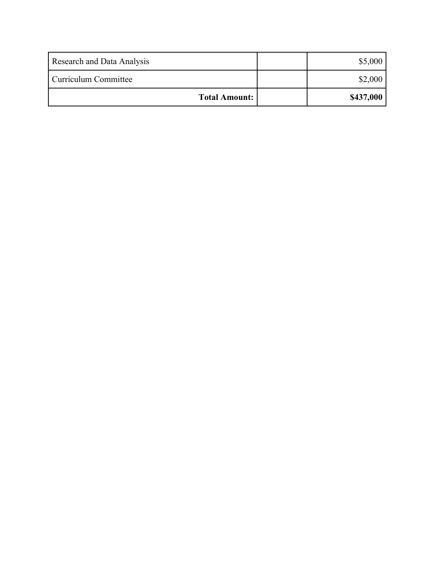| <b>Research and Data Analysis</b> | \$5,000   |
|-----------------------------------|-----------|
| Curriculum Committee              | \$2,000   |
| <b>Total Amount:</b>              | \$437,000 |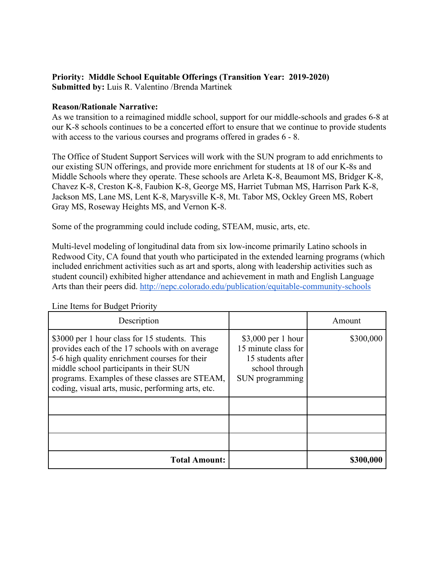### **Priority: Middle School Equitable Offerings (Transition Year: 2019-2020) Submitted by:** Luis R. Valentino /Brenda Martinek

### **Reason/Rationale Narrative:**

As we transition to a reimagined middle school, support for our middle-schools and grades 6-8 at our K-8 schools continues to be a concerted effort to ensure that we continue to provide students with access to the various courses and programs offered in grades  $6 - 8$ .

The Office of Student Support Services will work with the SUN program to add enrichments to our existing SUN offerings, and provide more enrichment for students at 18 of our K-8s and Middle Schools where they operate. These schools are Arleta K-8, Beaumont MS, Bridger K-8, Chavez K-8, Creston K-8, Faubion K-8, George MS, Harriet Tubman MS, Harrison Park K-8, Jackson MS, Lane MS, Lent K-8, Marysville K-8, Mt. Tabor MS, Ockley Green MS, Robert Gray MS, Roseway Heights MS, and Vernon K-8.

Some of the programming could include coding, STEAM, music, arts, etc.

Multi-level modeling of longitudinal data from six low-income primarily Latino schools in Redwood City, CA found that youth who participated in the extended learning programs (which included enrichment activities such as art and sports, along with leadership activities such as student council) exhibited higher attendance and achievement in math and English Language Arts than their peers did. http://nepc.colorado.edu/publication/equitable-community-schools

| Description                                                                                                                                                                                                                                                                                         |                                                                                                      | Amount    |
|-----------------------------------------------------------------------------------------------------------------------------------------------------------------------------------------------------------------------------------------------------------------------------------------------------|------------------------------------------------------------------------------------------------------|-----------|
| \$3000 per 1 hour class for 15 students. This<br>provides each of the 17 schools with on average<br>5-6 high quality enrichment courses for their<br>middle school participants in their SUN<br>programs. Examples of these classes are STEAM,<br>coding, visual arts, music, performing arts, etc. | $$3,000$ per 1 hour<br>15 minute class for<br>15 students after<br>school through<br>SUN programming | \$300,000 |
| <b>Total Amount:</b>                                                                                                                                                                                                                                                                                |                                                                                                      | \$300,000 |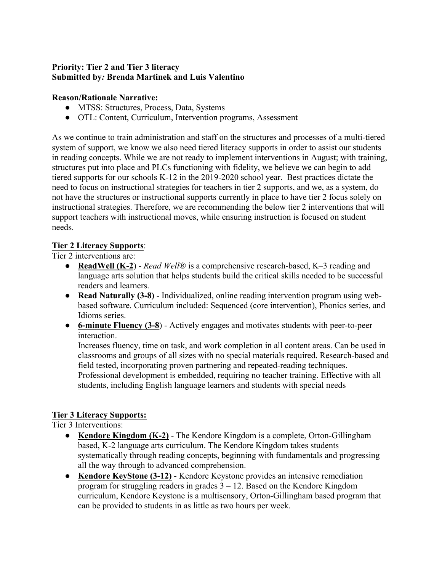### **Priority: Tier 2 and Tier 3 literacy Submitted by***:* **Brenda Martinek and Luis Valentino**

### **Reason/Rationale Narrative:**

- MTSS: Structures, Process, Data, Systems
- OTL: Content, Curriculum, Intervention programs, Assessment

As we continue to train administration and staff on the structures and processes of a multi-tiered system of support, we know we also need tiered literacy supports in order to assist our students in reading concepts. While we are not ready to implement interventions in August; with training, structures put into place and PLCs functioning with fidelity, we believe we can begin to add tiered supports for our schools K-12 in the 2019-2020 school year. Best practices dictate the need to focus on instructional strategies for teachers in tier 2 supports, and we, as a system, do not have the structures or instructional supports currently in place to have tier 2 focus solely on instructional strategies. Therefore, we are recommending the below tier 2 interventions that will support teachers with instructional moves, while ensuring instruction is focused on student needs.

### **Tier 2 Literacy Supports**:

Tier 2 interventions are:

- **ReadWell (K-2**) *Read Well*® is a comprehensive research-based, K–3 reading and language arts solution that helps students build the critical skills needed to be successful readers and learners.
- **Read Naturally (3-8)** Individualized, online reading intervention program using webbased software. Curriculum included: Sequenced (core intervention), Phonics series, and Idioms series.
- **6-minute Fluency (3-8**) Actively engages and motivates students with peer-to-peer interaction.

Increases fluency, time on task, and work completion in all content areas. Can be used in classrooms and groups of all sizes with no special materials required. Research-based and field tested, incorporating proven partnering and repeated-reading techniques. Professional development is embedded, requiring no teacher training. Effective with all students, including English language learners and students with special needs

### **Tier 3 Literacy Supports:**

Tier 3 Interventions:

- **Kendore Kingdom (K-2)** The Kendore Kingdom is a complete, Orton-Gillingham based, K-2 language arts curriculum. The Kendore Kingdom takes students systematically through reading concepts, beginning with fundamentals and progressing all the way through to advanced comprehension.
- **Kendore KeyStone (3-12)** Kendore Keystone provides an intensive remediation program for struggling readers in grades 3 – 12. Based on the Kendore Kingdom curriculum, Kendore Keystone is a multisensory, Orton-Gillingham based program that can be provided to students in as little as two hours per week.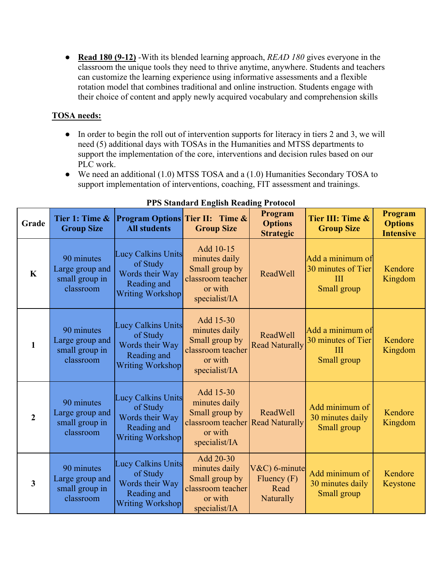● **Read 180 (9-12)** -With its blended learning approach, *READ 180* gives everyone in the classroom the unique tools they need to thrive anytime, anywhere. Students and teachers can customize the learning experience using informative assessments and a flexible rotation model that combines traditional and online instruction. Students engage with their choice of content and apply newly acquired vocabulary and comprehension skills

### **TOSA needs:**

- In order to begin the roll out of intervention supports for literacy in tiers 2 and 3, we will need (5) additional days with TOSAs in the Humanities and MTSS departments to support the implementation of the core, interventions and decision rules based on our PLC work.
- We need an additional (1.0) MTSS TOSA and a (1.0) Humanities Secondary TOSA to support implementation of interventions, coaching, FIT assessment and trainings.

| Grade                   | Tier 1: Time &<br><b>Group Size</b>                          | <b>Program Options Tier II: Time &amp;</b><br><b>All students</b>                                  | <b>Group Size</b>                                                                             | Program<br><b>Options</b><br><b>Strategic</b>                 | Tier III: Time &<br><b>Group Size</b>                                            | Program<br><b>Options</b><br><b>Intensive</b> |
|-------------------------|--------------------------------------------------------------|----------------------------------------------------------------------------------------------------|-----------------------------------------------------------------------------------------------|---------------------------------------------------------------|----------------------------------------------------------------------------------|-----------------------------------------------|
| $\mathbf K$             | 90 minutes<br>Large group and<br>small group in<br>classroom | <b>Lucy Calkins Units</b><br>of Study<br>Words their Way<br>Reading and<br><b>Writing Workshop</b> | Add 10-15<br>minutes daily<br>Small group by<br>classroom teacher<br>or with<br>specialist/IA | <b>ReadWell</b>                                               | Add a minimum of<br>30 minutes of Tier<br>III<br>Small group                     | Kendore<br>Kingdom                            |
| $\mathbf{1}$            | 90 minutes<br>Large group and<br>small group in<br>classroom | <b>Lucy Calkins Units</b><br>of Study<br>Words their Way<br>Reading and<br><b>Writing Workshop</b> | Add 15-30<br>minutes daily<br>Small group by<br>classroom teacher<br>or with<br>specialist/IA | ReadWell<br><b>Read Naturally</b>                             | Add a minimum of<br>30 minutes of Tier<br>$\overline{\mathbf{H}}$<br>Small group | Kendore<br>Kingdom                            |
| $\overline{2}$          | 90 minutes<br>Large group and<br>small group in<br>classroom | <b>Lucy Calkins Units</b><br>of Study<br>Words their Way<br>Reading and<br><b>Writing Workshop</b> | Add 15-30<br>minutes daily<br>Small group by<br>classroom teacher<br>or with<br>specialist/IA | ReadWell<br><b>Read Naturally</b>                             | Add minimum of<br>30 minutes daily<br>Small group                                | Kendore<br>Kingdom                            |
| $\overline{\mathbf{3}}$ | 90 minutes<br>Large group and<br>small group in<br>classroom | <b>Lucy Calkins Units</b><br>of Study<br>Words their Way<br>Reading and<br><b>Writing Workshop</b> | Add 20-30<br>minutes daily<br>Small group by<br>classroom teacher<br>or with<br>specialist/IA | $V&C$ ) 6-minute<br>Fluency $(F)$<br>Read<br><b>Naturally</b> | Add minimum of<br>30 minutes daily<br>Small group                                | Kendore<br>Keystone                           |

### **PPS Standard English Reading Protocol**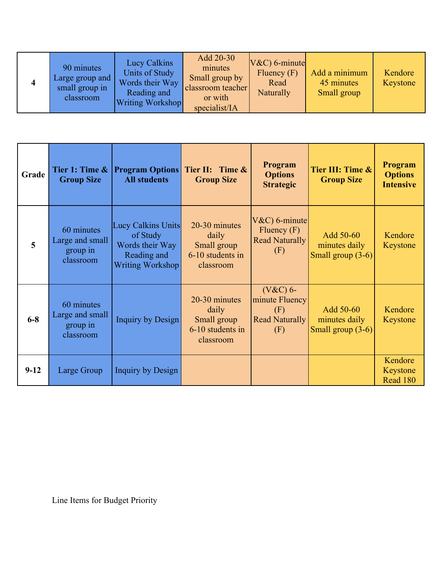|  | 90 minutes<br>Large group and<br>small group in<br>classroom | Lucy Calkins<br>Units of Study<br>Words their Way<br>Reading and<br>Writing Workshop | Add 20-30<br>minutes<br>Small group by<br>classroom teacher<br>or with<br>specialist/IA | $V&C$ 6-minute<br>Fluency $(F)$<br>Read<br><b>Naturally</b> | Add a minimum<br>45 minutes<br>Small group | Kendore<br>Keystone |
|--|--------------------------------------------------------------|--------------------------------------------------------------------------------------|-----------------------------------------------------------------------------------------|-------------------------------------------------------------|--------------------------------------------|---------------------|
|--|--------------------------------------------------------------|--------------------------------------------------------------------------------------|-----------------------------------------------------------------------------------------|-------------------------------------------------------------|--------------------------------------------|---------------------|

| Grade          | Tier 1: Time &<br><b>Group Size</b>                    | <b>All students</b>                                                                         | <b>Program Options Tier II: Time &amp;</b><br><b>Group Size</b>        | Program<br><b>Options</b><br><b>Strategic</b>                         | Tier III: Time &<br><b>Group Size</b>             | <b>Program</b><br><b>Options</b><br><b>Intensive</b> |
|----------------|--------------------------------------------------------|---------------------------------------------------------------------------------------------|------------------------------------------------------------------------|-----------------------------------------------------------------------|---------------------------------------------------|------------------------------------------------------|
| $\overline{5}$ | 60 minutes<br>Large and small<br>group in<br>classroom | Lucy Calkins Units<br>of Study<br>Words their Way<br>Reading and<br><b>Writing Workshop</b> | 20-30 minutes<br>daily<br>Small group<br>6-10 students in<br>classroom | $V&C$ ) 6-minute<br>Fluency $(F)$<br><b>Read Naturally</b><br>(F)     | Add 50-60<br>minutes daily<br>Small group (3-6)   | Kendore<br>Keystone                                  |
| $6 - 8$        | 60 minutes<br>Large and small<br>group in<br>classroom | Inquiry by Design                                                                           | 20-30 minutes<br>daily<br>Small group<br>6-10 students in<br>classroom | $(V & C)$ 6-<br>minute Fluency<br>(F)<br><b>Read Naturally</b><br>(F) | Add 50-60<br>minutes daily<br>Small group $(3-6)$ | Kendore<br>Keystone                                  |
| $9-12$         | Large Group                                            | Inquiry by Design                                                                           |                                                                        |                                                                       |                                                   | Kendore<br>Keystone<br>Read 180                      |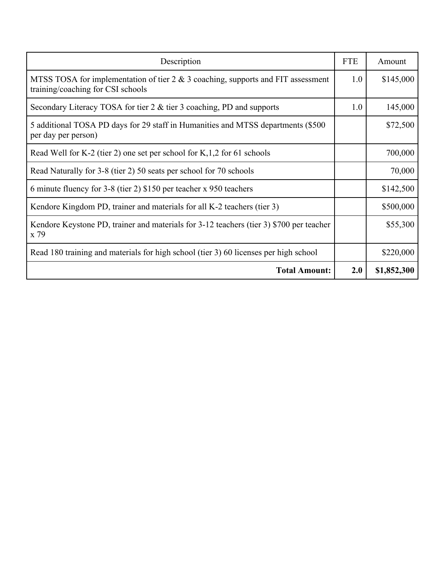| Description                                                                                                              | <b>FTE</b> | Amount      |
|--------------------------------------------------------------------------------------------------------------------------|------------|-------------|
| MTSS TOSA for implementation of tier $2 \& 3$ coaching, supports and FIT assessment<br>training/coaching for CSI schools | 1.0        | \$145,000   |
| Secondary Literacy TOSA for tier 2 & tier 3 coaching, PD and supports                                                    | 1.0        | 145,000     |
| 5 additional TOSA PD days for 29 staff in Humanities and MTSS departments (\$500)<br>per day per person)                 |            | \$72,500    |
| Read Well for K-2 (tier 2) one set per school for K, $1,2$ for 61 schools                                                |            | 700,000     |
| Read Naturally for 3-8 (tier 2) 50 seats per school for 70 schools                                                       |            | 70,000      |
| 6 minute fluency for 3-8 (tier 2) \$150 per teacher x 950 teachers                                                       |            | \$142,500   |
| Kendore Kingdom PD, trainer and materials for all K-2 teachers (tier 3)                                                  |            | \$500,000   |
| Kendore Keystone PD, trainer and materials for 3-12 teachers (tier 3) \$700 per teacher<br>$x\,79$                       |            | \$55,300    |
| Read 180 training and materials for high school (tier 3) 60 licenses per high school                                     |            | \$220,000   |
| <b>Total Amount:</b>                                                                                                     | 2.0        | \$1,852,300 |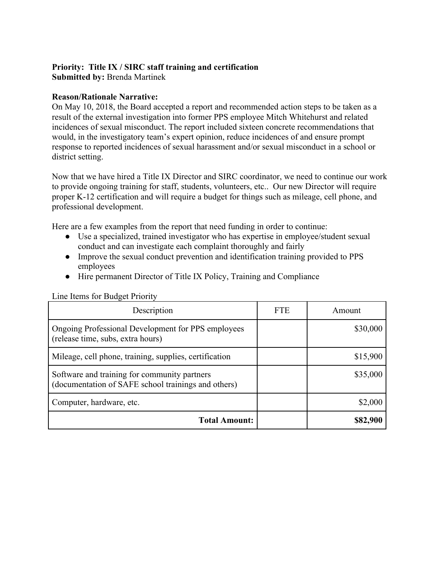### **Priority: Title IX / SIRC staff training and certification**

**Submitted by:** Brenda Martinek

### **Reason/Rationale Narrative:**

On May 10, 2018, the Board accepted a report and recommended action steps to be taken as a result of the external investigation into former PPS employee Mitch Whitehurst and related incidences of sexual misconduct. The report included sixteen concrete recommendations that would, in the investigatory team's expert opinion, reduce incidences of and ensure prompt response to reported incidences of sexual harassment and/or sexual misconduct in a school or district setting.

Now that we have hired a Title IX Director and SIRC coordinator, we need to continue our work to provide ongoing training for staff, students, volunteers, etc.. Our new Director will require proper K-12 certification and will require a budget for things such as mileage, cell phone, and professional development.

Here are a few examples from the report that need funding in order to continue:

- Use a specialized, trained investigator who has expertise in employee/student sexual conduct and can investigate each complaint thoroughly and fairly
- Improve the sexual conduct prevention and identification training provided to PPS employees
- Hire permanent Director of Title IX Policy, Training and Compliance

| Description                                                                                         | <b>FTE</b> | Amount   |
|-----------------------------------------------------------------------------------------------------|------------|----------|
| Ongoing Professional Development for PPS employees<br>(release time, subs, extra hours)             |            | \$30,000 |
| Mileage, cell phone, training, supplies, certification                                              |            | \$15,900 |
| Software and training for community partners<br>(documentation of SAFE school trainings and others) |            | \$35,000 |
| Computer, hardware, etc.                                                                            |            | \$2,000  |
| <b>Total Amount:</b>                                                                                |            | \$82,900 |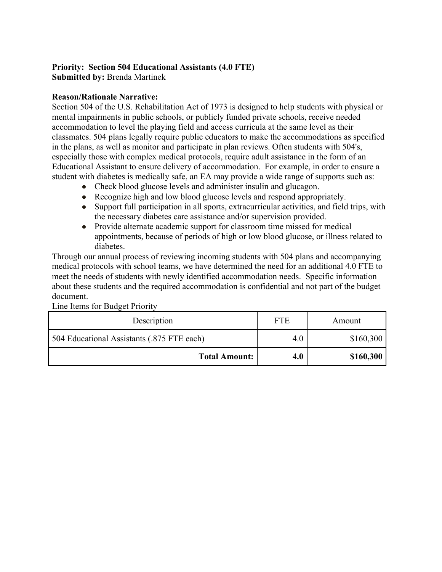# **Priority: Section 504 Educational Assistants (4.0 FTE)**

**Submitted by:** Brenda Martinek

### **Reason/Rationale Narrative:**

Section 504 of the U.S. Rehabilitation Act of 1973 is designed to help students with physical or mental impairments in public schools, or publicly funded private schools, receive needed accommodation to level the playing field and access curricula at the same level as their classmates. 504 plans legally require public educators to make the accommodations as specified in the plans, as well as monitor and participate in plan reviews. Often students with 504's, especially those with complex medical protocols, require adult assistance in the form of an Educational Assistant to ensure delivery of accommodation. For example, in order to ensure a student with diabetes is medically safe, an EA may provide a wide range of supports such as:

- Check blood glucose levels and administer insulin and glucagon.
- Recognize high and low blood glucose levels and respond appropriately.
- Support full participation in all sports, extracurricular activities, and field trips, with the necessary diabetes care assistance and/or supervision provided.
- Provide alternate academic support for classroom time missed for medical appointments, because of periods of high or low blood glucose, or illness related to diabetes.

Through our annual process of reviewing incoming students with 504 plans and accompanying medical protocols with school teams, we have determined the need for an additional 4.0 FTE to meet the needs of students with newly identified accommodation needs. Specific information about these students and the required accommodation is confidential and not part of the budget document.

Description FTE Amount 504 Educational Assistants (.875 FTE each) 4.0 \$160,300 **Total Amount: 4.0 \$160,300**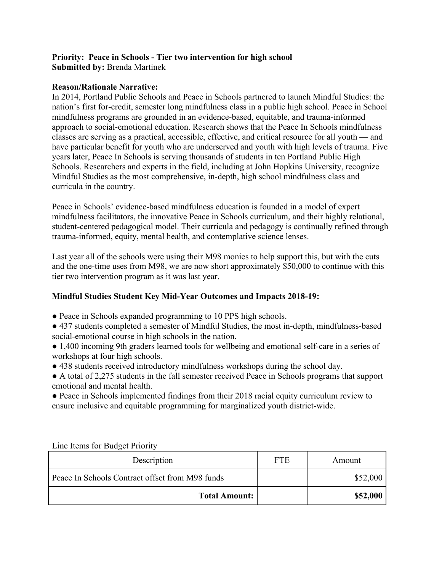### **Priority: Peace in Schools - Tier two intervention for high school Submitted by:** Brenda Martinek

### **Reason/Rationale Narrative:**

In 2014, Portland Public Schools and Peace in Schools partnered to launch Mindful Studies: the nation's first for-credit, semester long mindfulness class in a public high school. Peace in School mindfulness programs are grounded in an evidence-based, equitable, and trauma-informed approach to social-emotional education. Research shows that the Peace In Schools mindfulness classes are serving as a practical, accessible, effective, and critical resource for all youth — and have particular benefit for youth who are underserved and youth with high levels of trauma. Five years later, Peace In Schools is serving thousands of students in ten Portland Public High Schools. Researchers and experts in the field, including at John Hopkins University, recognize Mindful Studies as the most comprehensive, in-depth, high school mindfulness class and curricula in the country.

Peace in Schools' evidence-based mindfulness education is founded in a model of expert mindfulness facilitators, the innovative Peace in Schools curriculum, and their highly relational, student-centered pedagogical model. Their curricula and pedagogy is continually refined through trauma-informed, equity, mental health, and contemplative science lenses.

Last year all of the schools were using their M98 monies to help support this, but with the cuts and the one-time uses from M98, we are now short approximately \$50,000 to continue with this tier two intervention program as it was last year.

### **Mindful Studies Student Key Mid-Year Outcomes and Impacts 2018-19:**

- Peace in Schools expanded programming to 10 PPS high schools.
- 437 students completed a semester of Mindful Studies, the most in-depth, mindfulness-based social-emotional course in high schools in the nation.
- 1,400 incoming 9th graders learned tools for wellbeing and emotional self-care in a series of workshops at four high schools.
- 438 students received introductory mindfulness workshops during the school day.
- A total of 2,275 students in the fall semester received Peace in Schools programs that support emotional and mental health.
- Peace in Schools implemented findings from their 2018 racial equity curriculum review to ensure inclusive and equitable programming for marginalized youth district-wide.

| Description                                     | <b>FTE</b> | Amount   |
|-------------------------------------------------|------------|----------|
| Peace In Schools Contract offset from M98 funds |            | \$52,000 |
| <b>Total Amount:</b>                            |            | \$52,000 |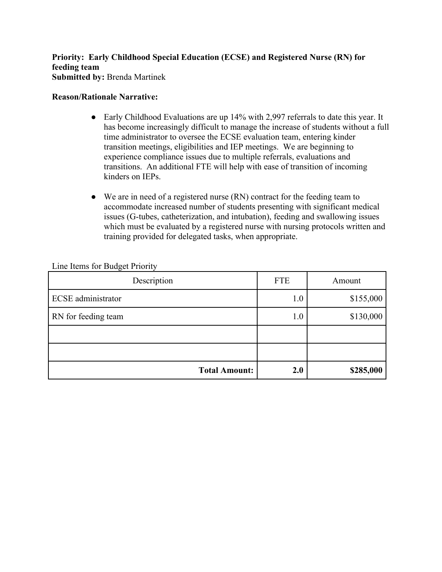**Priority: Early Childhood Special Education (ECSE) and Registered Nurse (RN) for feeding team Submitted by:** Brenda Martinek

### **Reason/Rationale Narrative:**

- Early Childhood Evaluations are up 14% with 2,997 referrals to date this year. It has become increasingly difficult to manage the increase of students without a full time administrator to oversee the ECSE evaluation team, entering kinder transition meetings, eligibilities and IEP meetings. We are beginning to experience compliance issues due to multiple referrals, evaluations and transitions. An additional FTE will help with ease of transition of incoming kinders on IEPs.
- We are in need of a registered nurse (RN) contract for the feeding team to accommodate increased number of students presenting with significant medical issues (G-tubes, catheterization, and intubation), feeding and swallowing issues which must be evaluated by a registered nurse with nursing protocols written and training provided for delegated tasks, when appropriate.

| Description               | <b>FTE</b> | Amount    |
|---------------------------|------------|-----------|
| <b>ECSE</b> administrator | 1.0        | \$155,000 |
| RN for feeding team       | 1.0        | \$130,000 |
|                           |            |           |
|                           |            |           |
| <b>Total Amount:</b>      | 2.0        | \$285,000 |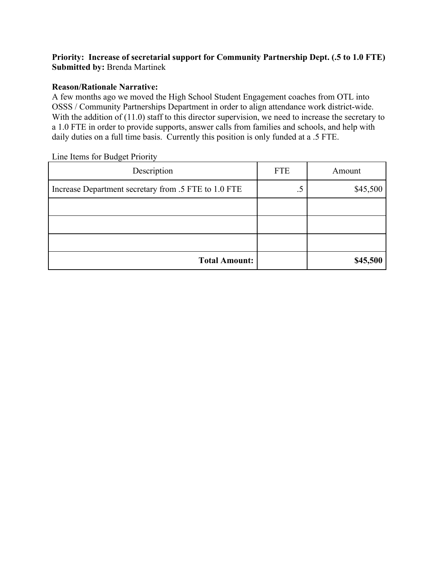### **Priority: Increase of secretarial support for Community Partnership Dept. (.5 to 1.0 FTE) Submitted by:** Brenda Martinek

### **Reason/Rationale Narrative:**

A few months ago we moved the High School Student Engagement coaches from OTL into OSSS / Community Partnerships Department in order to align attendance work district-wide. With the addition of (11.0) staff to this director supervision, we need to increase the secretary to a 1.0 FTE in order to provide supports, answer calls from families and schools, and help with daily duties on a full time basis. Currently this position is only funded at a .5 FTE.

| Description                                          | <b>FTE</b> | Amount   |
|------------------------------------------------------|------------|----------|
| Increase Department secretary from .5 FTE to 1.0 FTE | $\cdot$ .5 | \$45,500 |
|                                                      |            |          |
|                                                      |            |          |
|                                                      |            |          |
| <b>Total Amount:</b>                                 |            | \$45,500 |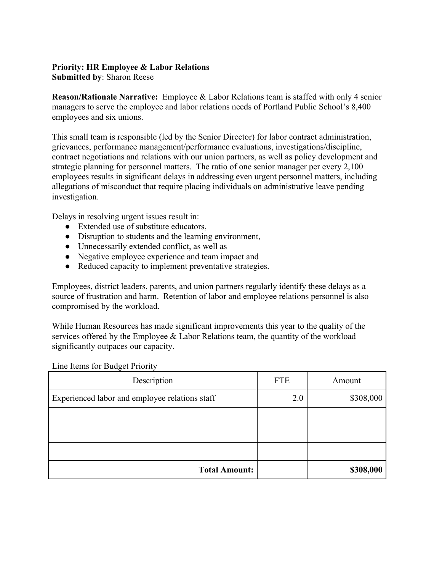### **Priority: HR Employee & Labor Relations**

**Submitted by**: Sharon Reese

**Reason/Rationale Narrative:** Employee & Labor Relations team is staffed with only 4 senior managers to serve the employee and labor relations needs of Portland Public School's 8,400 employees and six unions.

This small team is responsible (led by the Senior Director) for labor contract administration, grievances, performance management/performance evaluations, investigations/discipline, contract negotiations and relations with our union partners, as well as policy development and strategic planning for personnel matters. The ratio of one senior manager per every 2,100 employees results in significant delays in addressing even urgent personnel matters, including allegations of misconduct that require placing individuals on administrative leave pending investigation.

Delays in resolving urgent issues result in:

- Extended use of substitute educators,
- Disruption to students and the learning environment,
- Unnecessarily extended conflict, as well as
- Negative employee experience and team impact and
- Reduced capacity to implement preventative strategies.

Employees, district leaders, parents, and union partners regularly identify these delays as a source of frustration and harm. Retention of labor and employee relations personnel is also compromised by the workload.

While Human Resources has made significant improvements this year to the quality of the services offered by the Employee  $\&$  Labor Relations team, the quantity of the workload significantly outpaces our capacity.

| Description                                    | <b>FTE</b> | Amount    |
|------------------------------------------------|------------|-----------|
| Experienced labor and employee relations staff | 2.0        | \$308,000 |
|                                                |            |           |
|                                                |            |           |
|                                                |            |           |
| <b>Total Amount:</b>                           |            | \$308,000 |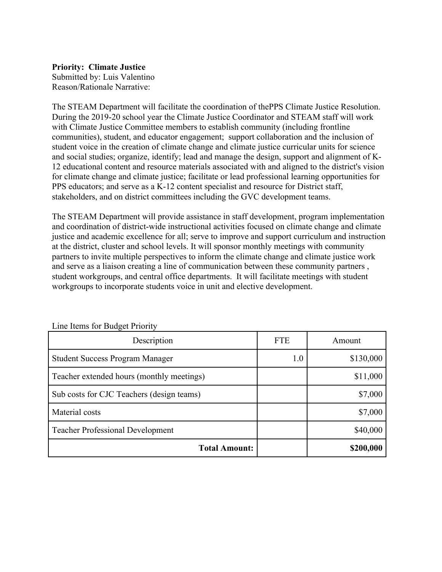### **Priority: Climate Justice**

Submitted by: Luis Valentino Reason/Rationale Narrative:

The STEAM Department will facilitate the coordination of thePPS Climate Justice Resolution. During the 2019-20 school year the Climate Justice Coordinator and STEAM staff will work with Climate Justice Committee members to establish community (including frontline communities), student, and educator engagement; support collaboration and the inclusion of student voice in the creation of climate change and climate justice curricular units for science and social studies; organize, identify; lead and manage the design, support and alignment of K-12 educational content and resource materials associated with and aligned to the district's vision for climate change and climate justice; facilitate or lead professional learning opportunities for PPS educators; and serve as a K-12 content specialist and resource for District staff, stakeholders, and on district committees including the GVC development teams.

The STEAM Department will provide assistance in staff development, program implementation and coordination of district-wide instructional activities focused on climate change and climate justice and academic excellence for all; serve to improve and support curriculum and instruction at the district, cluster and school levels. It will sponsor monthly meetings with community partners to invite multiple perspectives to inform the climate change and climate justice work and serve as a liaison creating a line of communication between these community partners , student workgroups, and central office departments. It will facilitate meetings with student workgroups to incorporate students voice in unit and elective development.

| <b>Total Amount:</b>                      |            | \$200,000 |
|-------------------------------------------|------------|-----------|
| <b>Teacher Professional Development</b>   |            | \$40,000  |
| Material costs                            |            | \$7,000   |
| Sub costs for CJC Teachers (design teams) |            | \$7,000   |
| Teacher extended hours (monthly meetings) |            | \$11,000  |
| <b>Student Success Program Manager</b>    | 1.0        | \$130,000 |
| Description                               | <b>FTE</b> | Amount    |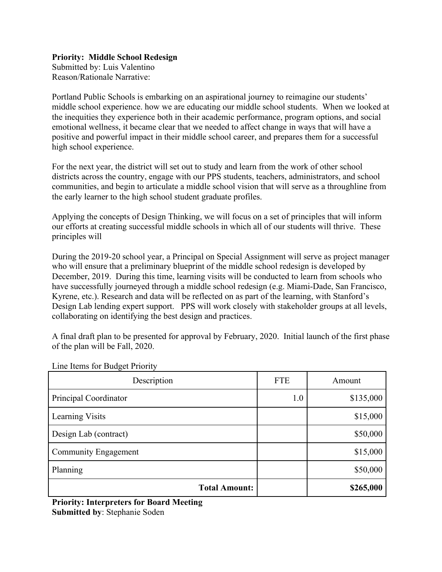### **Priority: Middle School Redesign**

Submitted by: Luis Valentino Reason/Rationale Narrative:

Portland Public Schools is embarking on an aspirational journey to reimagine our students' middle school experience. how we are educating our middle school students. When we looked at the inequities they experience both in their academic performance, program options, and social emotional wellness, it became clear that we needed to affect change in ways that will have a positive and powerful impact in their middle school career, and prepares them for a successful high school experience.

For the next year, the district will set out to study and learn from the work of other school districts across the country, engage with our PPS students, teachers, administrators, and school communities, and begin to articulate a middle school vision that will serve as a throughline from the early learner to the high school student graduate profiles.

Applying the concepts of Design Thinking, we will focus on a set of principles that will inform our efforts at creating successful middle schools in which all of our students will thrive. These principles will

During the 2019-20 school year, a Principal on Special Assignment will serve as project manager who will ensure that a preliminary blueprint of the middle school redesign is developed by December, 2019. During this time, learning visits will be conducted to learn from schools who have successfully journeyed through a middle school redesign (e.g. Miami-Dade, San Francisco, Kyrene, etc.). Research and data will be reflected on as part of the learning, with Stanford's Design Lab lending expert support. PPS will work closely with stakeholder groups at all levels, collaborating on identifying the best design and practices.

A final draft plan to be presented for approval by February, 2020. Initial launch of the first phase of the plan will be Fall, 2020.

| Description                 | <b>FTE</b> | Amount    |
|-----------------------------|------------|-----------|
| Principal Coordinator       | 1.0        | \$135,000 |
| Learning Visits             |            | \$15,000  |
| Design Lab (contract)       |            | \$50,000  |
| <b>Community Engagement</b> |            | \$15,000  |
| Planning                    |            | \$50,000  |
| <b>Total Amount:</b>        |            | \$265,000 |

Line Items for Budget Priority

**Priority: Interpreters for Board Meeting Submitted by**: Stephanie Soden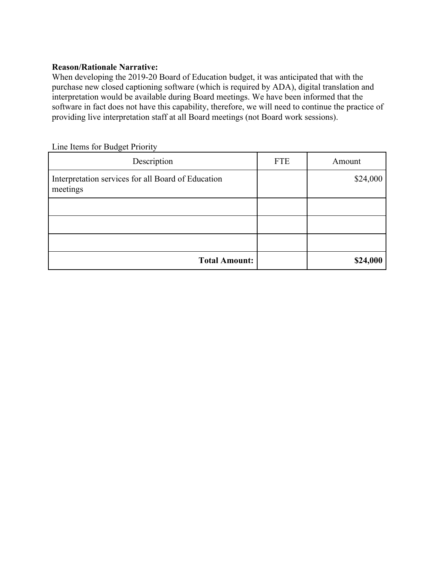### **Reason/Rationale Narrative:**

When developing the 2019-20 Board of Education budget, it was anticipated that with the purchase new closed captioning software (which is required by ADA), digital translation and interpretation would be available during Board meetings. We have been informed that the software in fact does not have this capability, therefore, we will need to continue the practice of providing live interpretation staff at all Board meetings (not Board work sessions).

| Description                                                    | <b>FTE</b> | Amount   |
|----------------------------------------------------------------|------------|----------|
| Interpretation services for all Board of Education<br>meetings |            | \$24,000 |
|                                                                |            |          |
|                                                                |            |          |
|                                                                |            |          |
| <b>Total Amount:</b>                                           |            | \$24,000 |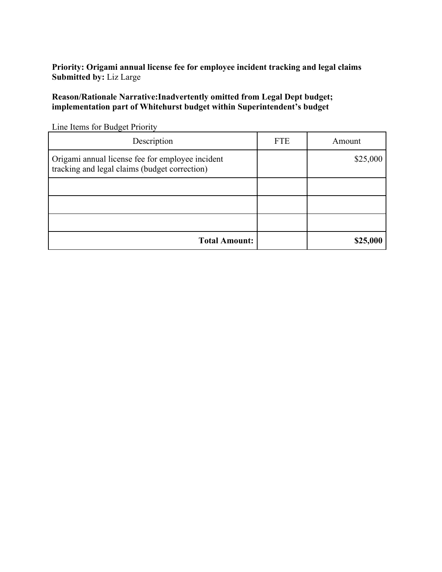**Priority: Origami annual license fee for employee incident tracking and legal claims Submitted by:** Liz Large

**Reason/Rationale Narrative:Inadvertently omitted from Legal Dept budget; implementation part of Whitehurst budget within Superintendent's budget**

| $\frac{1}{2}$                                                                                     |            |          |
|---------------------------------------------------------------------------------------------------|------------|----------|
| Description                                                                                       | <b>FTE</b> | Amount   |
| Origami annual license fee for employee incident<br>tracking and legal claims (budget correction) |            | \$25,000 |
|                                                                                                   |            |          |
|                                                                                                   |            |          |
|                                                                                                   |            |          |
| <b>Total Amount:</b>                                                                              |            | \$25,000 |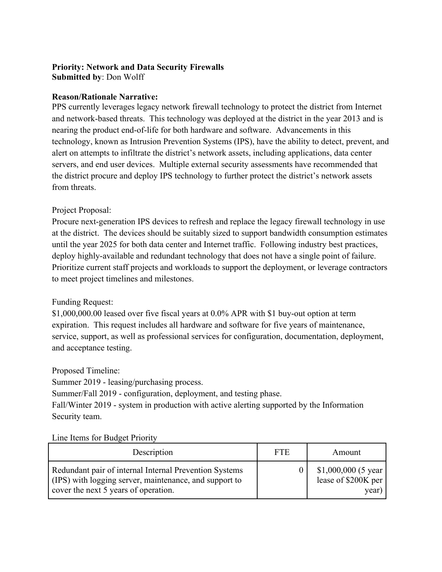# **Priority: Network and Data Security Firewalls**

**Submitted by**: Don Wolff

### **Reason/Rationale Narrative:**

PPS currently leverages legacy network firewall technology to protect the district from Internet and network-based threats. This technology was deployed at the district in the year 2013 and is nearing the product end-of-life for both hardware and software. Advancements in this technology, known as Intrusion Prevention Systems (IPS), have the ability to detect, prevent, and alert on attempts to infiltrate the district's network assets, including applications, data center servers, and end user devices. Multiple external security assessments have recommended that the district procure and deploy IPS technology to further protect the district's network assets from threats.

### Project Proposal:

Procure next-generation IPS devices to refresh and replace the legacy firewall technology in use at the district. The devices should be suitably sized to support bandwidth consumption estimates until the year 2025 for both data center and Internet traffic. Following industry best practices, deploy highly-available and redundant technology that does not have a single point of failure. Prioritize current staff projects and workloads to support the deployment, or leverage contractors to meet project timelines and milestones.

### Funding Request:

\$1,000,000.00 leased over five fiscal years at 0.0% APR with \$1 buy-out option at term expiration. This request includes all hardware and software for five years of maintenance, service, support, as well as professional services for configuration, documentation, deployment, and acceptance testing.

### Proposed Timeline:

Summer 2019 - leasing/purchasing process.

Summer/Fall 2019 - configuration, deployment, and testing phase.

Fall/Winter 2019 - system in production with active alerting supported by the Information Security team.

| Description                                                                                                                                              | <b>FTE</b> | Amount                                                |
|----------------------------------------------------------------------------------------------------------------------------------------------------------|------------|-------------------------------------------------------|
| Redundant pair of internal Internal Prevention Systems<br>(IPS) with logging server, maintenance, and support to<br>cover the next 5 years of operation. |            | $$1,000,000$ (5 year)<br>lease of \$200K per<br>year) |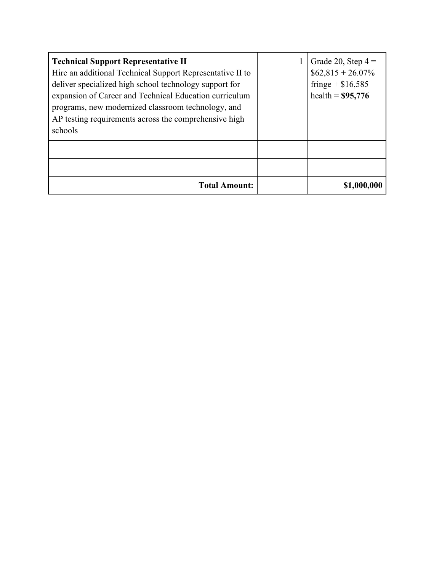| <b>Technical Support Representative II</b><br>Hire an additional Technical Support Representative II to<br>deliver specialized high school technology support for<br>expansion of Career and Technical Education curriculum<br>programs, new modernized classroom technology, and<br>AP testing requirements across the comprehensive high<br>schools | Grade 20, Step $4 =$<br>$$62,815 + 26.07\%$<br>fringe + $$16,585$<br>health = $$95,776$ |
|-------------------------------------------------------------------------------------------------------------------------------------------------------------------------------------------------------------------------------------------------------------------------------------------------------------------------------------------------------|-----------------------------------------------------------------------------------------|
|                                                                                                                                                                                                                                                                                                                                                       |                                                                                         |
|                                                                                                                                                                                                                                                                                                                                                       |                                                                                         |
| <b>Total Amount:</b>                                                                                                                                                                                                                                                                                                                                  | \$1,000,000                                                                             |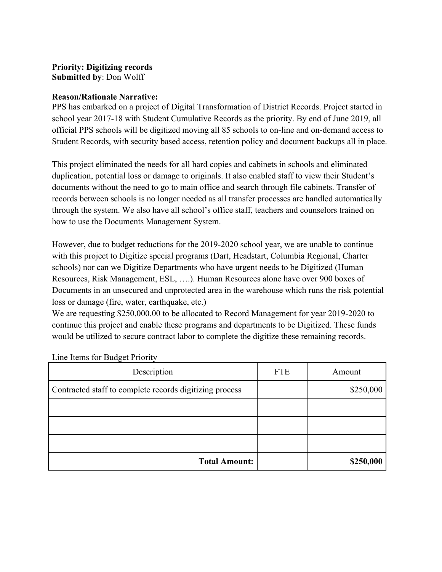### **Priority: Digitizing records Submitted by**: Don Wolff

### **Reason/Rationale Narrative:**

PPS has embarked on a project of Digital Transformation of District Records. Project started in school year 2017-18 with Student Cumulative Records as the priority. By end of June 2019, all official PPS schools will be digitized moving all 85 schools to on-line and on-demand access to Student Records, with security based access, retention policy and document backups all in place.

This project eliminated the needs for all hard copies and cabinets in schools and eliminated duplication, potential loss or damage to originals. It also enabled staff to view their Student's documents without the need to go to main office and search through file cabinets. Transfer of records between schools is no longer needed as all transfer processes are handled automatically through the system. We also have all school's office staff, teachers and counselors trained on how to use the Documents Management System.

However, due to budget reductions for the 2019-2020 school year, we are unable to continue with this project to Digitize special programs (Dart, Headstart, Columbia Regional, Charter schools) nor can we Digitize Departments who have urgent needs to be Digitized (Human Resources, Risk Management, ESL, ….). Human Resources alone have over 900 boxes of Documents in an unsecured and unprotected area in the warehouse which runs the risk potential loss or damage (fire, water, earthquake, etc.)

We are requesting \$250,000.00 to be allocated to Record Management for year 2019-2020 to continue this project and enable these programs and departments to be Digitized. These funds would be utilized to secure contract labor to complete the digitize these remaining records.

| Description                                             | <b>FTE</b> | Amount    |
|---------------------------------------------------------|------------|-----------|
| Contracted staff to complete records digitizing process |            | \$250,000 |
|                                                         |            |           |
|                                                         |            |           |
|                                                         |            |           |
| <b>Total Amount:</b>                                    |            | \$250,000 |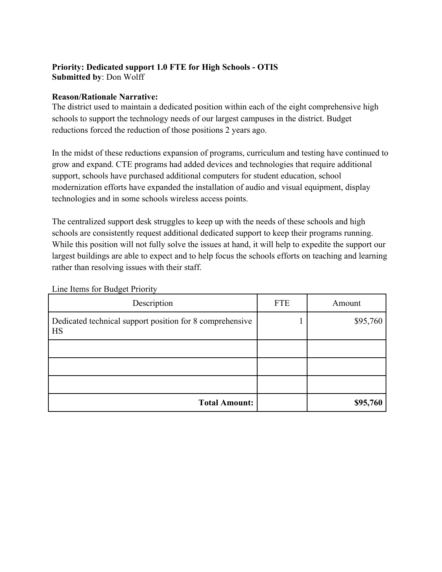# **Priority: Dedicated support 1.0 FTE for High Schools - OTIS**

**Submitted by**: Don Wolff

### **Reason/Rationale Narrative:**

The district used to maintain a dedicated position within each of the eight comprehensive high schools to support the technology needs of our largest campuses in the district. Budget reductions forced the reduction of those positions 2 years ago.

In the midst of these reductions expansion of programs, curriculum and testing have continued to grow and expand. CTE programs had added devices and technologies that require additional support, schools have purchased additional computers for student education, school modernization efforts have expanded the installation of audio and visual equipment, display technologies and in some schools wireless access points.

The centralized support desk struggles to keep up with the needs of these schools and high schools are consistently request additional dedicated support to keep their programs running. While this position will not fully solve the issues at hand, it will help to expedite the support our largest buildings are able to expect and to help focus the schools efforts on teaching and learning rather than resolving issues with their staff.

| Description                                                    | <b>FTE</b> | Amount   |
|----------------------------------------------------------------|------------|----------|
| Dedicated technical support position for 8 comprehensive<br>HS |            | \$95,760 |
|                                                                |            |          |
|                                                                |            |          |
|                                                                |            |          |
| <b>Total Amount:</b>                                           |            | \$95,760 |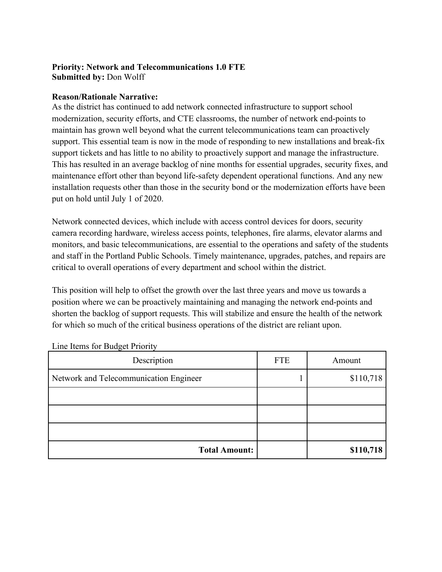### **Priority: Network and Telecommunications 1.0 FTE Submitted by:** Don Wolff

### **Reason/Rationale Narrative:**

As the district has continued to add network connected infrastructure to support school modernization, security efforts, and CTE classrooms, the number of network end-points to maintain has grown well beyond what the current telecommunications team can proactively support. This essential team is now in the mode of responding to new installations and break-fix support tickets and has little to no ability to proactively support and manage the infrastructure. This has resulted in an average backlog of nine months for essential upgrades, security fixes, and maintenance effort other than beyond life-safety dependent operational functions. And any new installation requests other than those in the security bond or the modernization efforts have been put on hold until July 1 of 2020.

Network connected devices, which include with access control devices for doors, security camera recording hardware, wireless access points, telephones, fire alarms, elevator alarms and monitors, and basic telecommunications, are essential to the operations and safety of the students and staff in the Portland Public Schools. Timely maintenance, upgrades, patches, and repairs are critical to overall operations of every department and school within the district.

This position will help to offset the growth over the last three years and move us towards a position where we can be proactively maintaining and managing the network end-points and shorten the backlog of support requests. This will stabilize and ensure the health of the network for which so much of the critical business operations of the district are reliant upon.

| Description                            | <b>FTE</b> | Amount    |
|----------------------------------------|------------|-----------|
| Network and Telecommunication Engineer |            | \$110,718 |
|                                        |            |           |
|                                        |            |           |
|                                        |            |           |
| <b>Total Amount:</b>                   |            | \$110,718 |